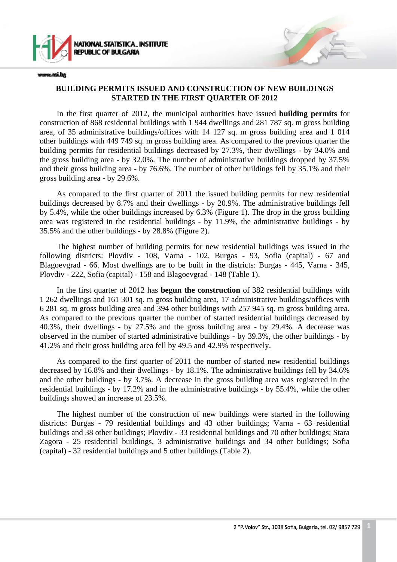

www.nsi.bg

#### **BUILDING PERMITS ISSUED AND CONSTRUCTION OF NEW BUILDINGS STARTED IN THE FIRST QUARTER OF 2012**

In the first quarter of 2012, the municipal authorities have issued **building permits** for construction of 868 residential buildings with 1 944 dwellings and 281 787 sq. m gross building area, of 35 administrative buildings/offices with 14 127 sq. m gross building area and 1 014 other buildings with 449 749 sq. m gross building area. As compared to the previous quarter the building permits for residential buildings decreased by 27.3%, their dwellings - by 34.0% and the gross building area - by 32.0%. The number of administrative buildings dropped by 37.5% and their gross building area - by 76.6%. The number of other buildings fell by 35.1% and their gross building area - by 29.6%.

As compared to the first quarter of 2011 the issued building permits for new residential buildings decreased by 8.7% and their dwellings - by 20.9%. The administrative buildings fell by 5.4%, while the other buildings increased by 6.3% (Figure 1). The drop in the gross building area was registered in the residential buildings - by 11.9%, the administrative buildings - by 35.5% and the other buildings - by 28.8% (Figure 2).

The highest number of building permits for new residential buildings was issued in the following districts: Plovdiv - 108, Varna - 102, Burgas - 93, Sofia (capital) - 67 and Blagoevgrad - 66. Most dwellings are to be built in the districts: Burgas - 445, Varna - 345, Plovdiv - 222, Sofia (capital) - 158 and Blagoevgrad - 148 (Table 1).

In the first quarter of 2012 has **begun the construction** of 382 residential buildings with 1 262 dwellings and 161 301 sq. m gross building area, 17 administrative buildings/offices with 6 281 sq. m gross building area and 394 other buildings with 257 945 sq. m gross building area. As compared to the previous quarter the number of started residential buildings decreased by 40.3%, their dwellings - by 27.5% and the gross building area - by 29.4%. A decrease was observed in the number of started administrative buildings - by 39.3%, the other buildings - by 41.2% and their gross building area fell by 49.5 and 42.9% respectively.

As compared to the first quarter of 2011 the number of started new residential buildings decreased by 16.8% and their dwellings - by 18.1%. The administrative buildings fell by 34.6% and the other buildings - by 3.7%. A decrease in the gross building area was registered in the residential buildings - by 17.2% and in the administrative buildings - by 55.4%, while the other buildings showed an increase of 23.5%.

The highest number of the construction of new buildings were started in the following districts: Burgas - 79 residential buildings and 43 other buildings; Varna - 63 residential buildings and 38 other buildings; Plovdiv - 33 residential buildings and 70 other buildings; Stara Zagora - 25 residential buildings, 3 administrative buildings and 34 other buildings; Sofia (capital) - 32 residential buildings and 5 other buildings (Table 2).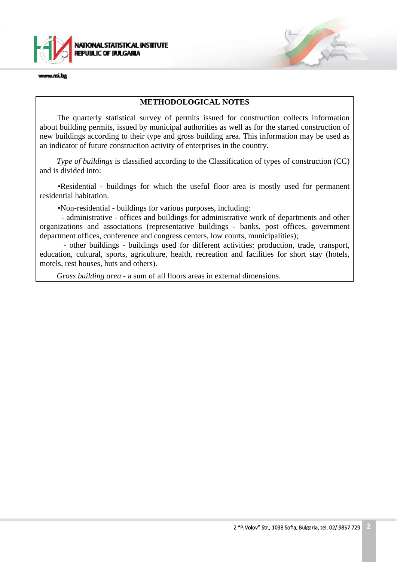

www.nsi.ba

#### **METHODOLOGICAL NOTES**

The quarterly statistical survey of permits issued for construction collects information about building permits, issued by municipal authorities as well as for the started construction of new buildings according to their type and gross building area. This information may be used as an indicator of future construction activity of enterprises in the country.

*Type of buildings* is classified according to the Classification of types of construction (CC) and is divided into:

•Residential - buildings for which the useful floor area is mostly used for permanent residential habitation.

•Non-residential *-* buildings for various purposes, including:

- administrative - offices and buildings for administrative work of departments and other organizations and associations (representative buildings - banks, post offices, government department offices, conference and congress centers, low courts, municipalities);

- other buildings - buildings used for different activities: production, trade, transport, education, cultural, sports, agriculture, health, recreation and facilities for short stay (hotels, motels, rest houses, huts and others).

*Gross building area* - a sum of all floors areas in external dimensions.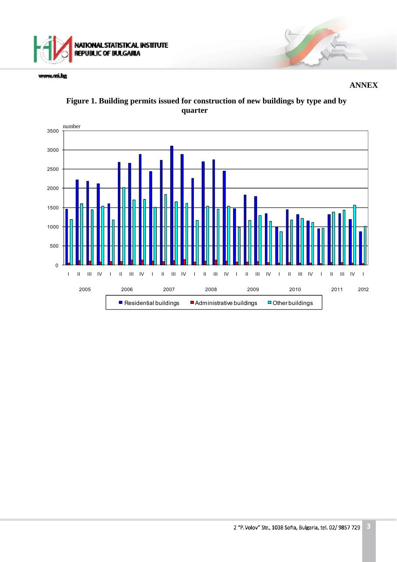

www.rsi.bg

 **ANNEX** 



### **Figure 1. Building permits issued for construction of new buildings by type and by quarter**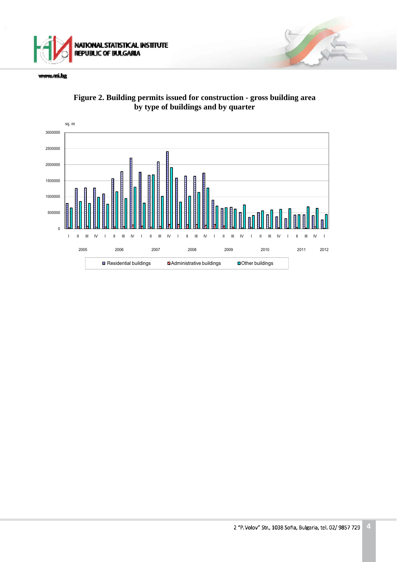

www.rsi.bg



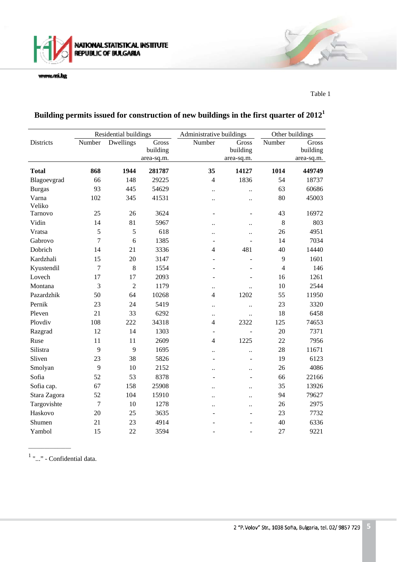

www.rsi.bg

Table 1

|                 | Residential buildings      |                |                                 | Administrative buildings |                                 | Other buildings |                                 |
|-----------------|----------------------------|----------------|---------------------------------|--------------------------|---------------------------------|-----------------|---------------------------------|
| Districts       | $\overline{\text{Number}}$ | Dwellings      | Gross<br>building<br>area-sq.m. | Number                   | Gross<br>building<br>area-sq.m. | Number          | Gross<br>building<br>area-sq.m. |
| <b>Total</b>    | 868                        | 1944           | 281787                          | 35                       | 14127                           | 1014            | 449749                          |
| Blagoevgrad     | 66                         | 148            | 29225                           | $\overline{4}$           | 1836                            | 54              | 18737                           |
| <b>Burgas</b>   | 93                         | 445            | 54629                           | $\ddot{\phantom{a}}$     | $\ddot{\phantom{a}}$            | 63              | 60686                           |
| Varna<br>Veliko | 102                        | 345            | 41531                           | $\ddot{\phantom{0}}$     | $\ddot{\phantom{a}}$            | 80              | 45003                           |
| Tarnovo         | 25                         | 26             | 3624                            | $\overline{\phantom{0}}$ |                                 | 43              | 16972                           |
| Vidin           | 14                         | 81             | 5967                            | $\ddot{\phantom{0}}$     | $\ddot{\phantom{a}}$            | 8               | 803                             |
| Vratsa          | 5                          | 5              | 618                             | $\ddot{\phantom{a}}$     |                                 | 26              | 4951                            |
| Gabrovo         | $\overline{7}$             | 6              | 1385                            | ÷.                       |                                 | 14              | 7034                            |
| Dobrich         | 14                         | 21             | 3336                            | $\overline{4}$           | 481                             | 40              | 14440                           |
| Kardzhali       | 15                         | 20             | 3147                            |                          | $\overline{a}$                  | 9               | 1601                            |
| Kyustendil      | $\overline{7}$             | 8              | 1554                            | ÷.                       |                                 | $\overline{4}$  | 146                             |
| Lovech          | 17                         | 17             | 2093                            | $\overline{\phantom{a}}$ |                                 | 16              | 1261                            |
| Montana         | 3                          | $\overline{2}$ | 1179                            | $\ldots$                 | $\ddot{\phantom{0}}$            | 10              | 2544                            |
| Pazardzhik      | 50                         | 64             | 10268                           | $\overline{4}$           | 1202                            | 55              | 11950                           |
| Pernik          | 23                         | 24             | 5419                            | $\ddot{\phantom{a}}$     | $\ddot{\phantom{a}}$            | 23              | 3320                            |
| Pleven          | 21                         | 33             | 6292                            | $\ddot{\phantom{0}}$     | $\ddot{\phantom{a}}$            | 18              | 6458                            |
| Plovdiv         | 108                        | 222            | 34318                           | $\overline{4}$           | 2322                            | 125             | 74653                           |
| Razgrad         | 12                         | 14             | 1303                            |                          |                                 | 20              | 7371                            |
| Ruse            | 11                         | 11             | 2609                            | $\overline{4}$           | 1225                            | 22              | 7956                            |
| Silistra        | 9                          | 9              | 1695                            | $\ddotsc$                | $\ddot{\phantom{a}}$            | 28              | 11671                           |
| Sliven          | 23                         | 38             | 5826                            | $\overline{a}$           | $\overline{\phantom{a}}$        | 19              | 6123                            |
| Smolyan         | 9                          | 10             | 2152                            | $\ddot{\phantom{0}}$     | $\ddot{\phantom{a}}$            | 26              | 4086                            |
| Sofia           | 52                         | 53             | 8378                            |                          |                                 | 66              | 22166                           |
| Sofia cap.      | 67                         | 158            | 25908                           | $\ddot{\phantom{0}}$     | $\ddot{\phantom{0}}$            | 35              | 13926                           |
| Stara Zagora    | 52                         | 104            | 15910                           | $\ddot{\phantom{a}}$     | $\ddot{\phantom{a}}$            | 94              | 79627                           |
| Targovishte     | $\overline{7}$             | 10             | 1278                            | $\ddot{\phantom{0}}$     | $\ddot{\phantom{0}}$            | 26              | 2975                            |
| Haskovo         | 20                         | 25             | 3635                            |                          |                                 | 23              | 7732                            |
| Shumen          | 21                         | 23             | 4914                            |                          |                                 | 40              | 6336                            |
| Yambol          | 15                         | 22             | 3594                            | ٠                        |                                 | 27              | 9221                            |

# **Building permits issued for construction of new buildings in the first quarter of 2012<sup>1</sup>**

 $1$  "..." - Confidential data.

 $\overline{\phantom{a}}$   $\overline{\phantom{a}}$   $\overline{\phantom{a}}$   $\overline{\phantom{a}}$   $\overline{\phantom{a}}$   $\overline{\phantom{a}}$   $\overline{\phantom{a}}$   $\overline{\phantom{a}}$   $\overline{\phantom{a}}$   $\overline{\phantom{a}}$   $\overline{\phantom{a}}$   $\overline{\phantom{a}}$   $\overline{\phantom{a}}$   $\overline{\phantom{a}}$   $\overline{\phantom{a}}$   $\overline{\phantom{a}}$   $\overline{\phantom{a}}$   $\overline{\phantom{a}}$   $\overline{\$